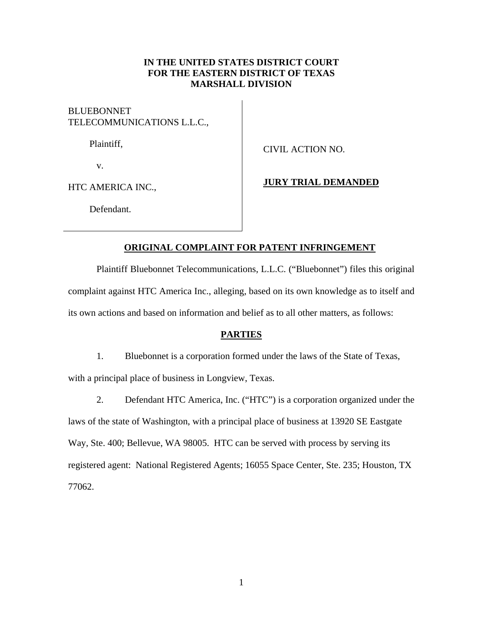## **IN THE UNITED STATES DISTRICT COURT FOR THE EASTERN DISTRICT OF TEXAS MARSHALL DIVISION**

**BLUEBONNET** TELECOMMUNICATIONS L.L.C.,

Plaintiff,

CIVIL ACTION NO.

v.

HTC AMERICA INC.,

## **JURY TRIAL DEMANDED**

Defendant.

# **ORIGINAL COMPLAINT FOR PATENT INFRINGEMENT**

Plaintiff Bluebonnet Telecommunications, L.L.C. ("Bluebonnet") files this original complaint against HTC America Inc., alleging, based on its own knowledge as to itself and its own actions and based on information and belief as to all other matters, as follows:

## **PARTIES**

1. Bluebonnet is a corporation formed under the laws of the State of Texas,

with a principal place of business in Longview, Texas.

2. Defendant HTC America, Inc. ("HTC") is a corporation organized under the laws of the state of Washington, with a principal place of business at 13920 SE Eastgate Way, Ste. 400; Bellevue, WA 98005. HTC can be served with process by serving its registered agent: National Registered Agents; 16055 Space Center, Ste. 235; Houston, TX 77062.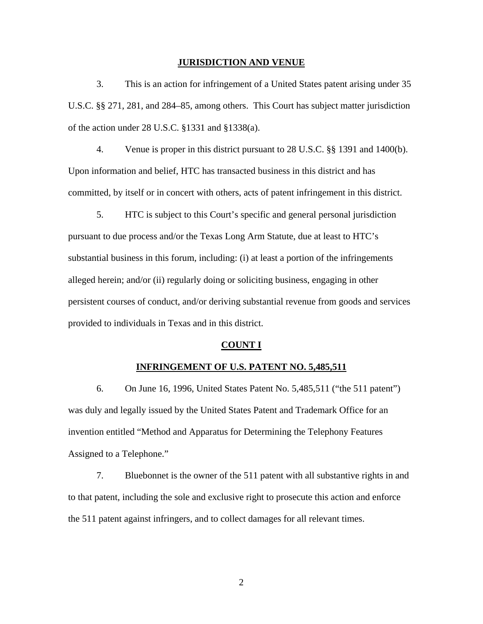#### **JURISDICTION AND VENUE**

3. This is an action for infringement of a United States patent arising under 35 U.S.C. §§ 271, 281, and 284–85, among others. This Court has subject matter jurisdiction of the action under 28 U.S.C. §1331 and §1338(a).

4. Venue is proper in this district pursuant to 28 U.S.C. §§ 1391 and 1400(b). Upon information and belief, HTC has transacted business in this district and has committed, by itself or in concert with others, acts of patent infringement in this district.

5. HTC is subject to this Court's specific and general personal jurisdiction pursuant to due process and/or the Texas Long Arm Statute, due at least to HTC's substantial business in this forum, including: (i) at least a portion of the infringements alleged herein; and/or (ii) regularly doing or soliciting business, engaging in other persistent courses of conduct, and/or deriving substantial revenue from goods and services provided to individuals in Texas and in this district.

### **COUNT I**

## **INFRINGEMENT OF U.S. PATENT NO. 5,485,511**

6. On June 16, 1996, United States Patent No. 5,485,511 ("the 511 patent") was duly and legally issued by the United States Patent and Trademark Office for an invention entitled "Method and Apparatus for Determining the Telephony Features Assigned to a Telephone."

7. Bluebonnet is the owner of the 511 patent with all substantive rights in and to that patent, including the sole and exclusive right to prosecute this action and enforce the 511 patent against infringers, and to collect damages for all relevant times.

2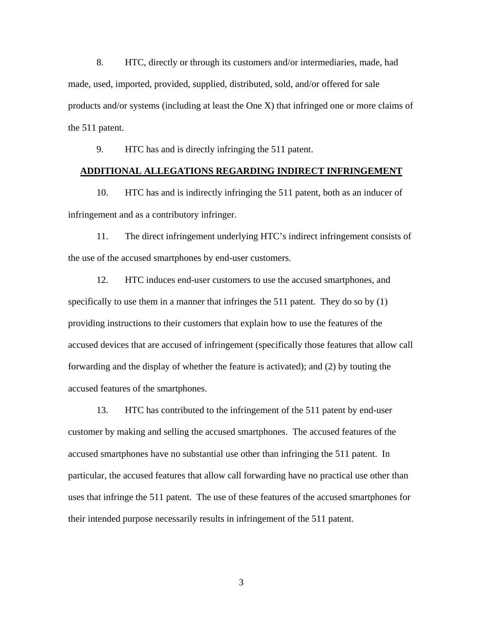8. HTC, directly or through its customers and/or intermediaries, made, had made, used, imported, provided, supplied, distributed, sold, and/or offered for sale products and/or systems (including at least the One X) that infringed one or more claims of the 511 patent.

9. HTC has and is directly infringing the 511 patent.

### **ADDITIONAL ALLEGATIONS REGARDING INDIRECT INFRINGEMENT**

10. HTC has and is indirectly infringing the 511 patent, both as an inducer of infringement and as a contributory infringer.

11. The direct infringement underlying HTC's indirect infringement consists of the use of the accused smartphones by end-user customers.

12. HTC induces end-user customers to use the accused smartphones, and specifically to use them in a manner that infringes the 511 patent. They do so by (1) providing instructions to their customers that explain how to use the features of the accused devices that are accused of infringement (specifically those features that allow call forwarding and the display of whether the feature is activated); and (2) by touting the accused features of the smartphones.

13. HTC has contributed to the infringement of the 511 patent by end-user customer by making and selling the accused smartphones. The accused features of the accused smartphones have no substantial use other than infringing the 511 patent. In particular, the accused features that allow call forwarding have no practical use other than uses that infringe the 511 patent. The use of these features of the accused smartphones for their intended purpose necessarily results in infringement of the 511 patent.

3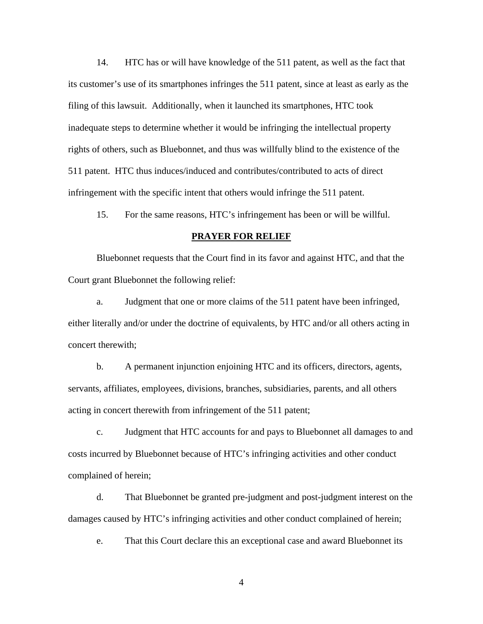14. HTC has or will have knowledge of the 511 patent, as well as the fact that its customer's use of its smartphones infringes the 511 patent, since at least as early as the filing of this lawsuit. Additionally, when it launched its smartphones, HTC took inadequate steps to determine whether it would be infringing the intellectual property rights of others, such as Bluebonnet, and thus was willfully blind to the existence of the 511 patent. HTC thus induces/induced and contributes/contributed to acts of direct infringement with the specific intent that others would infringe the 511 patent.

15. For the same reasons, HTC's infringement has been or will be willful.

### **PRAYER FOR RELIEF**

Bluebonnet requests that the Court find in its favor and against HTC, and that the Court grant Bluebonnet the following relief:

a. Judgment that one or more claims of the 511 patent have been infringed, either literally and/or under the doctrine of equivalents, by HTC and/or all others acting in concert therewith;

b. A permanent injunction enjoining HTC and its officers, directors, agents, servants, affiliates, employees, divisions, branches, subsidiaries, parents, and all others acting in concert therewith from infringement of the 511 patent;

c. Judgment that HTC accounts for and pays to Bluebonnet all damages to and costs incurred by Bluebonnet because of HTC's infringing activities and other conduct complained of herein;

d. That Bluebonnet be granted pre-judgment and post-judgment interest on the damages caused by HTC's infringing activities and other conduct complained of herein;

e. That this Court declare this an exceptional case and award Bluebonnet its

4